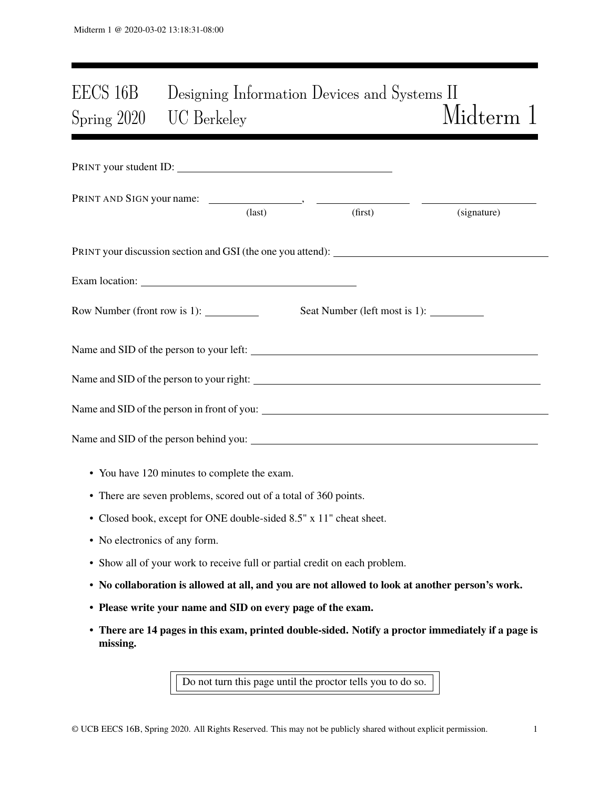# EECS 16B Designing Information Devices and Systems II Spring 2020 UC Berkeley Midterm 1

| PRINT your student ID:                                                                                 |                 |         |                                                                                                    |
|--------------------------------------------------------------------------------------------------------|-----------------|---------|----------------------------------------------------------------------------------------------------|
|                                                                                                        | $\text{(last)}$ | (first) | (signature)                                                                                        |
| PRINT your discussion section and GSI (the one you attend): _____________________                      |                 |         |                                                                                                    |
|                                                                                                        |                 |         |                                                                                                    |
| Row Number (front row is $1$ ): $\_\_\_\_\_\_\_\_\_\_\_\_\_\_\_\_\_\_\_\_\_\_\_\_\_\_\_\_\_\_\_\_\_\_$ |                 |         |                                                                                                    |
| Name and SID of the person to your left:                                                               |                 |         |                                                                                                    |
|                                                                                                        |                 |         |                                                                                                    |
|                                                                                                        |                 |         |                                                                                                    |
|                                                                                                        |                 |         |                                                                                                    |
| • You have 120 minutes to complete the exam.                                                           |                 |         |                                                                                                    |
| • There are seven problems, scored out of a total of 360 points.                                       |                 |         |                                                                                                    |
| • Closed book, except for ONE double-sided 8.5" x 11" cheat sheet.                                     |                 |         |                                                                                                    |
| • No electronics of any form.                                                                          |                 |         |                                                                                                    |
| • Show all of your work to receive full or partial credit on each problem.                             |                 |         |                                                                                                    |
| • No collaboration is allowed at all, and you are not allowed to look at another person's work.        |                 |         |                                                                                                    |
| • Please write your name and SID on every page of the exam.                                            |                 |         |                                                                                                    |
| missing.                                                                                               |                 |         | • There are 14 pages in this exam, printed double-sided. Notify a proctor immediately if a page is |

Do not turn this page until the proctor tells you to do so.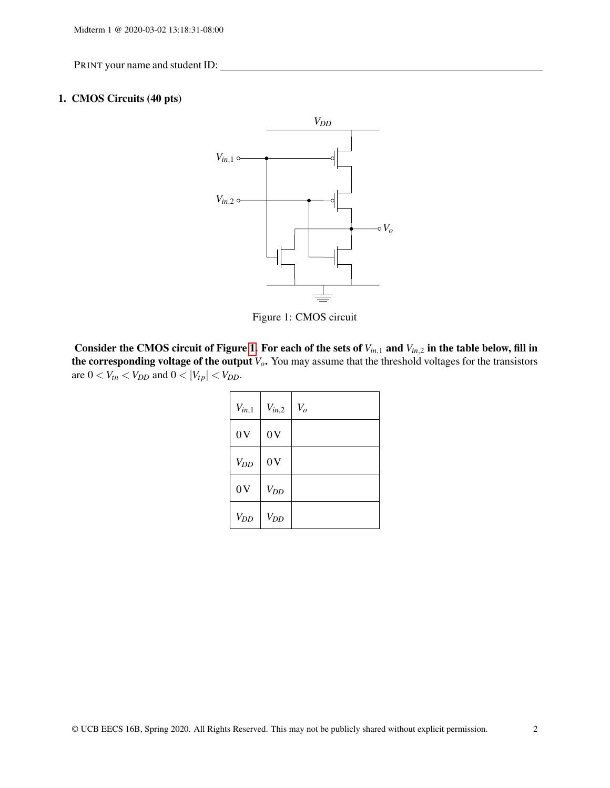# <span id="page-1-0"></span>1. CMOS Circuits (40 pts)



Figure 1: CMOS circuit

Consider the CMOS circuit of Figure [1.](#page-1-0) For each of the sets of *Vin*,<sup>1</sup> and *Vin*,<sup>2</sup> in the table below, fill in the corresponding voltage of the output *Vo*. You may assume that the threshold voltages for the transistors are  $0 < V_{tn} < V_{DD}$  and  $0 < |V_{tp}| < V_{DD}$ .

| $V_{in,1}$ | $V_{in,2}$ | $V_o$ |
|------------|------------|-------|
| 0V         | 0V         |       |
| $V_{DD}$   | 0V         |       |
| 0V         | $V_{DD}$   |       |
| $V_{DD}$   | $V_{DD}$   |       |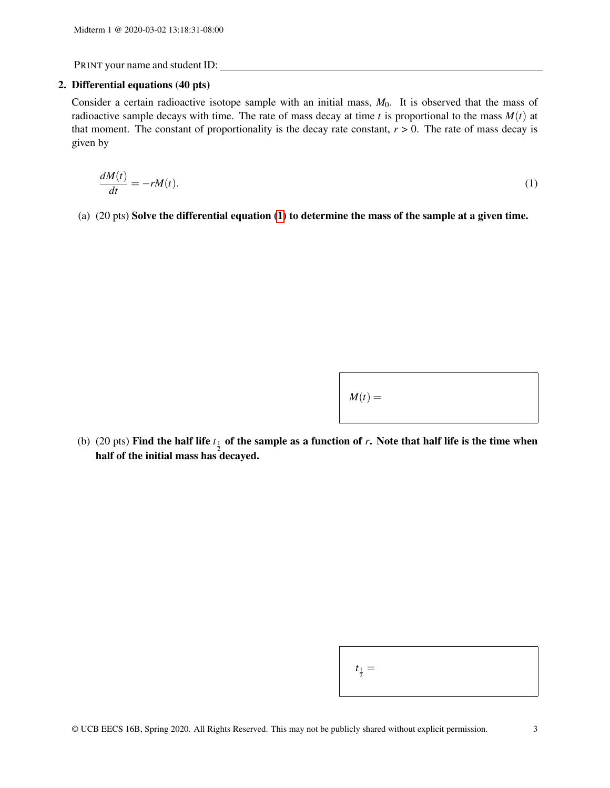## 2. Differential equations (40 pts)

Consider a certain radioactive isotope sample with an initial mass,  $M_0$ . It is observed that the mass of radioactive sample decays with time. The rate of mass decay at time  $t$  is proportional to the mass  $M(t)$  at that moment. The constant of proportionality is the decay rate constant,  $r > 0$ . The rate of mass decay is given by

$$
\frac{dM(t)}{dt} = -rM(t). \tag{1}
$$

(a) (20 pts) Solve the differential equation [\(1\)](#page-2-0) to determine the mass of the sample at a given time.

<span id="page-2-0"></span>

| $M(t) =$ |  |  |
|----------|--|--|
|          |  |  |

(b) (20 pts) Find the half life  $t_{\frac{1}{2}}$  of the sample as a function of *r*. Note that half life is the time when half of the initial mass has decayed.

 $\sqrt{2}$ 

| $=$ |  |
|-----|--|
|-----|--|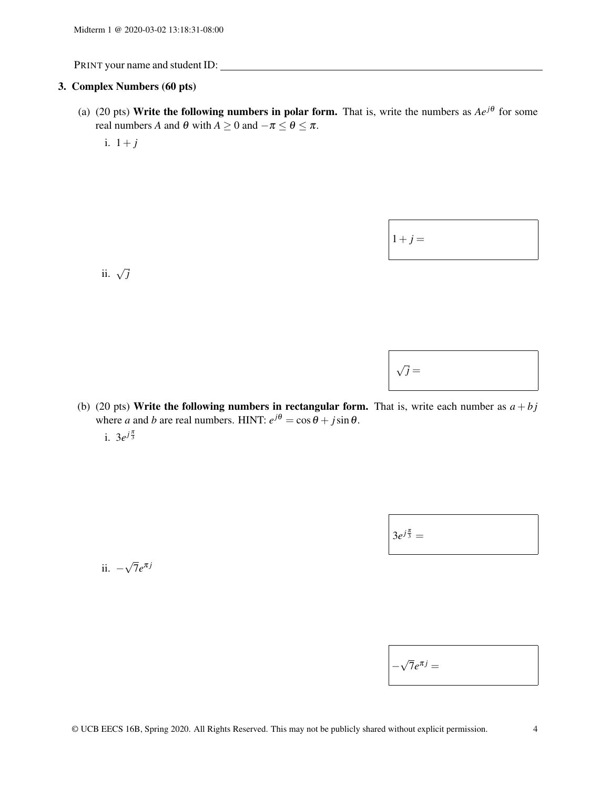#### 3. Complex Numbers (60 pts)

- (a) (20 pts) Write the following numbers in polar form. That is, write the numbers as  $Ae^{j\theta}$  for some real numbers *A* and  $\theta$  with  $A \ge 0$  and  $-\pi \le \theta \le \pi$ .
	- i.  $1+j$

ii. <sup>√</sup> *j*

| $1+j=$ |  |  |
|--------|--|--|
|        |  |  |

(b) (20 pts) Write the following numbers in rectangular form. That is, write each number as  $a + bj$ where *a* and *b* are real numbers. HINT:  $e^{j\theta} = \cos \theta + j \sin \theta$ .

i.  $3e^{j\frac{\pi}{3}}$ 

 $3e^{j\frac{\pi}{3}} =$ 

ii. − √  $\overline{7}e^{\pi j}$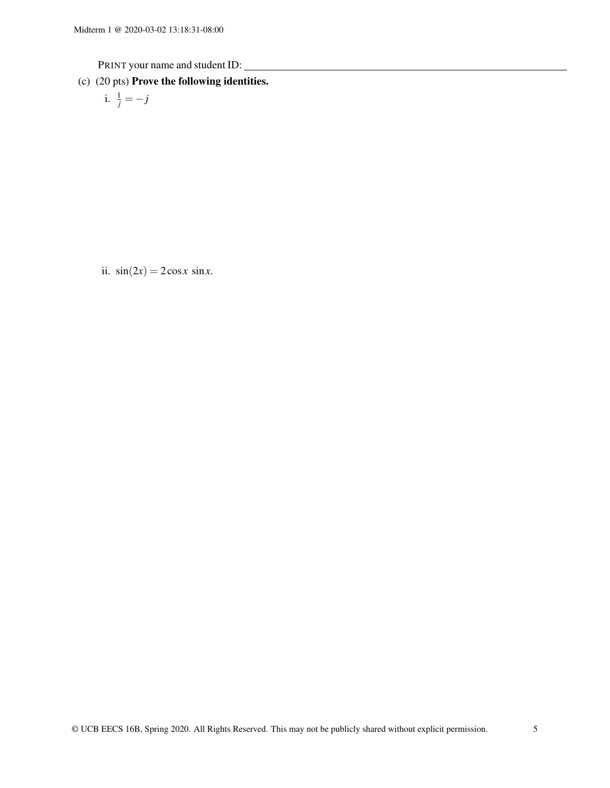(c) (20 pts) Prove the following identities.

i. 
$$
\frac{1}{j} = -j
$$

ii.  $sin(2x) = 2cosx sinx$ .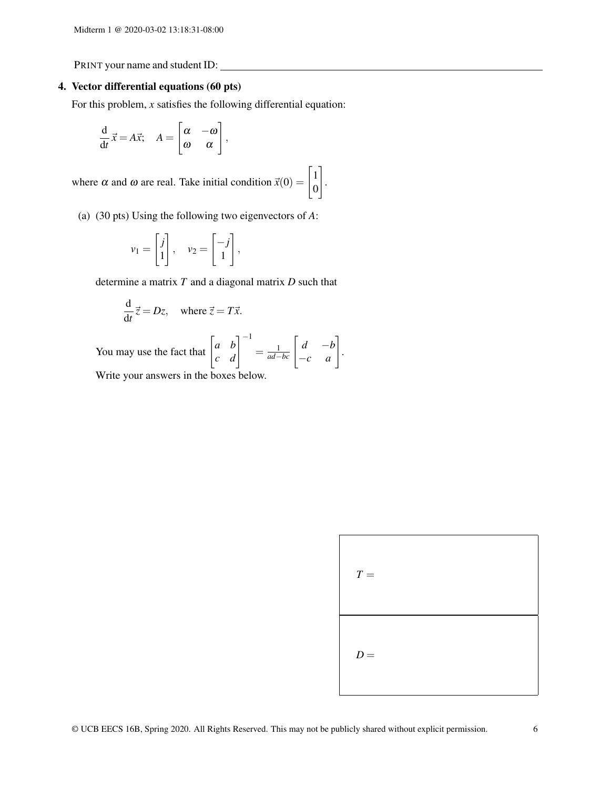## 4. Vector differential equations (60 pts)

For this problem, *x* satisfies the following differential equation:

$$
\frac{\mathrm{d}}{\mathrm{d}t}\vec{x} = A\vec{x}; \quad A = \begin{bmatrix} \alpha & -\omega \\ \omega & \alpha \end{bmatrix},
$$

where  $\alpha$  and  $\omega$  are real. Take initial condition  $\vec{x}(0) = \begin{bmatrix} 1 \\ 0 \end{bmatrix}$  $\boldsymbol{0}$ 1 .

(a) (30 pts) Using the following two eigenvectors of *A*:

$$
v_1 = \begin{bmatrix} j \\ 1 \end{bmatrix}, \quad v_2 = \begin{bmatrix} -j \\ 1 \end{bmatrix},
$$

determine a matrix *T* and a diagonal matrix *D* such that

$$
\frac{\mathrm{d}}{\mathrm{d}t}\vec{z} = Dz, \quad \text{where } \vec{z} = T\vec{x}.
$$

You may use the fact that  $\begin{bmatrix} a & b \\ c & d \end{bmatrix}^{-1} = \frac{1}{ad-bc} \begin{bmatrix} d & -b \\ -c & a \end{bmatrix}$ . Write your answers in the boxes below.

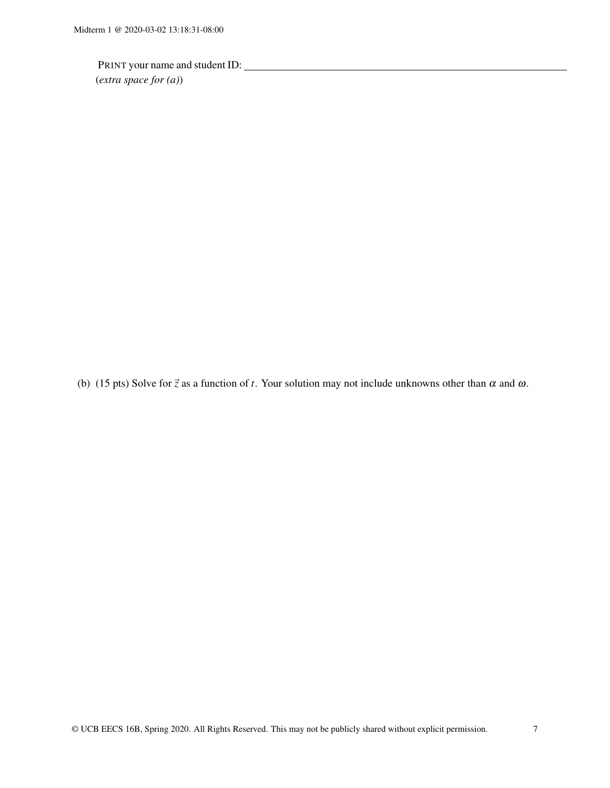PRINT your name and student ID: (*extra space for (a)*)

(b) (15 pts) Solve for  $\vec{z}$  as a function of *t*. Your solution may not include unknowns other than  $\alpha$  and  $\omega$ .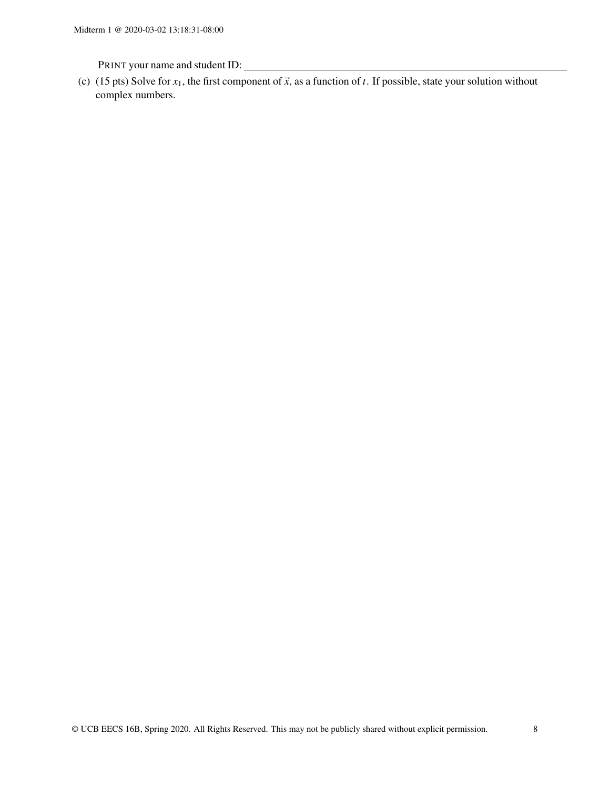(c) (15 pts) Solve for  $x_1$ , the first component of  $\vec{x}$ , as a function of *t*. If possible, state your solution without complex numbers.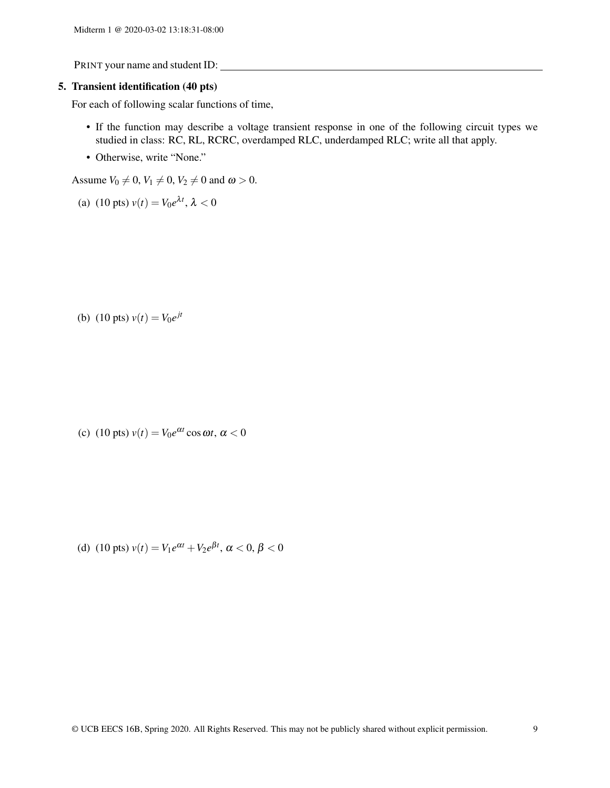#### 5. Transient identification (40 pts)

For each of following scalar functions of time,

- If the function may describe a voltage transient response in one of the following circuit types we studied in class: RC, RL, RCRC, overdamped RLC, underdamped RLC; write all that apply.
- Otherwise, write "None."

Assume  $V_0 \neq 0$ ,  $V_1 \neq 0$ ,  $V_2 \neq 0$  and  $\omega > 0$ .

(a) (10 pts) 
$$
v(t) = V_0 e^{\lambda t}
$$
,  $\lambda < 0$ 

(b) (10 pts)  $v(t) = V_0 e^{jt}$ 

(c) (10 pts)  $v(t) = V_0 e^{\alpha t} \cos \omega t$ ,  $\alpha < 0$ 

(d) (10 pts)  $v(t) = V_1 e^{\alpha t} + V_2 e^{\beta t}$ ,  $\alpha < 0$ ,  $\beta < 0$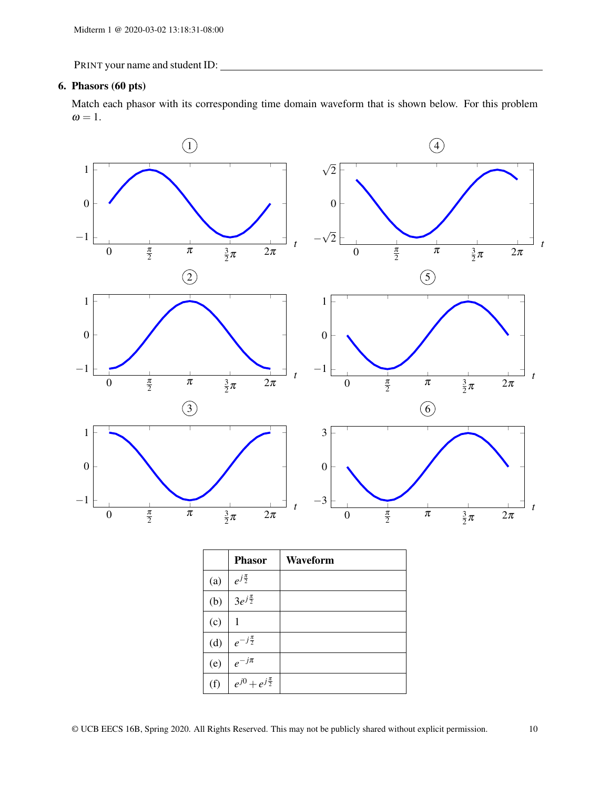## 6. Phasors (60 pts)

Match each phasor with its corresponding time domain waveform that is shown below. For this problem  $\omega = 1$ .



|     | <b>Phasor</b>               | <b>Waveform</b> |
|-----|-----------------------------|-----------------|
| (a) | $e^{j\frac{\pi}{2}}$        |                 |
| (b) | $3e^{j\frac{\pi}{2}}$       |                 |
| (c) | 1                           |                 |
| (d) | $e^{-j\frac{\pi}{2}}$       |                 |
| (e) | $e^{-j\pi}$                 |                 |
| (f) | $e^{j0}+e^{j\frac{\pi}{2}}$ |                 |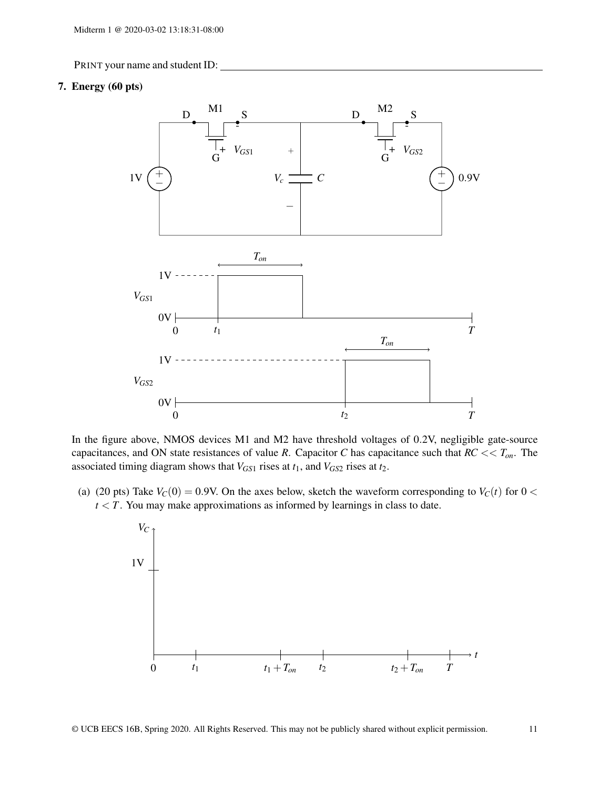#### 7. Energy (60 pts)



In the figure above, NMOS devices M1 and M2 have threshold voltages of 0.2V, negligible gate-source capacitances, and ON state resistances of value *R*. Capacitor *C* has capacitance such that *RC* << *Ton*. The associated timing diagram shows that  $V_{GS1}$  rises at  $t_1$ , and  $V_{GS2}$  rises at  $t_2$ .

(a) (20 pts) Take  $V_C(0) = 0.9V$ . On the axes below, sketch the waveform corresponding to  $V_C(t)$  for  $0 <$  $t < T$ . You may make approximations as informed by learnings in class to date.

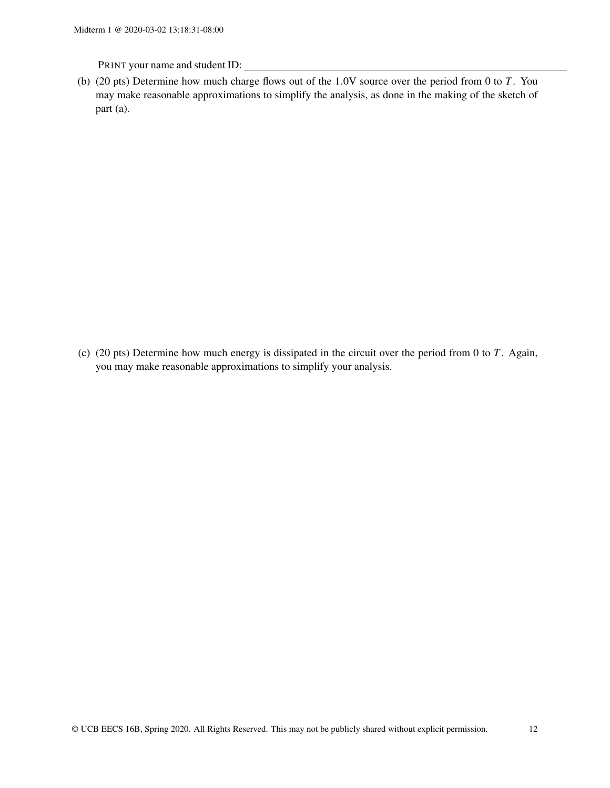(b) (20 pts) Determine how much charge flows out of the 1.0V source over the period from 0 to *T*. You may make reasonable approximations to simplify the analysis, as done in the making of the sketch of part (a).

(c) (20 pts) Determine how much energy is dissipated in the circuit over the period from 0 to *T*. Again, you may make reasonable approximations to simplify your analysis.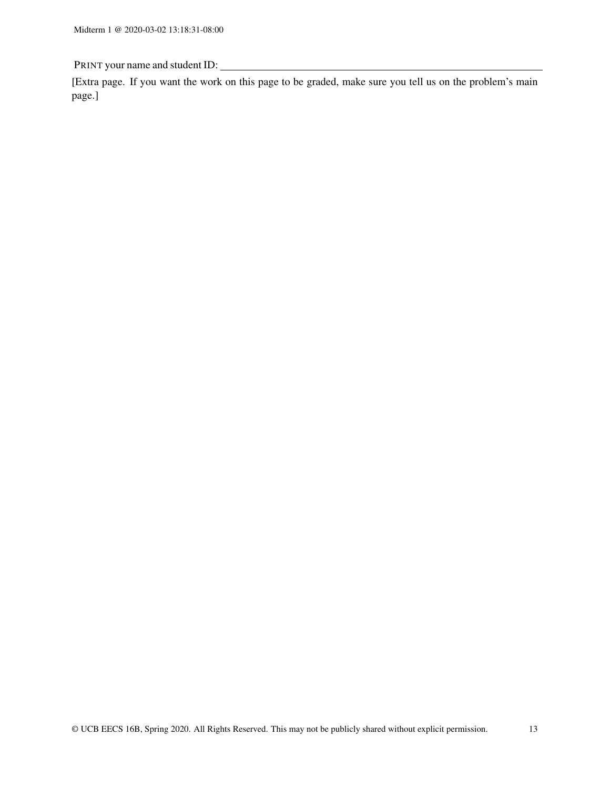[Extra page. If you want the work on this page to be graded, make sure you tell us on the problem's main page.]